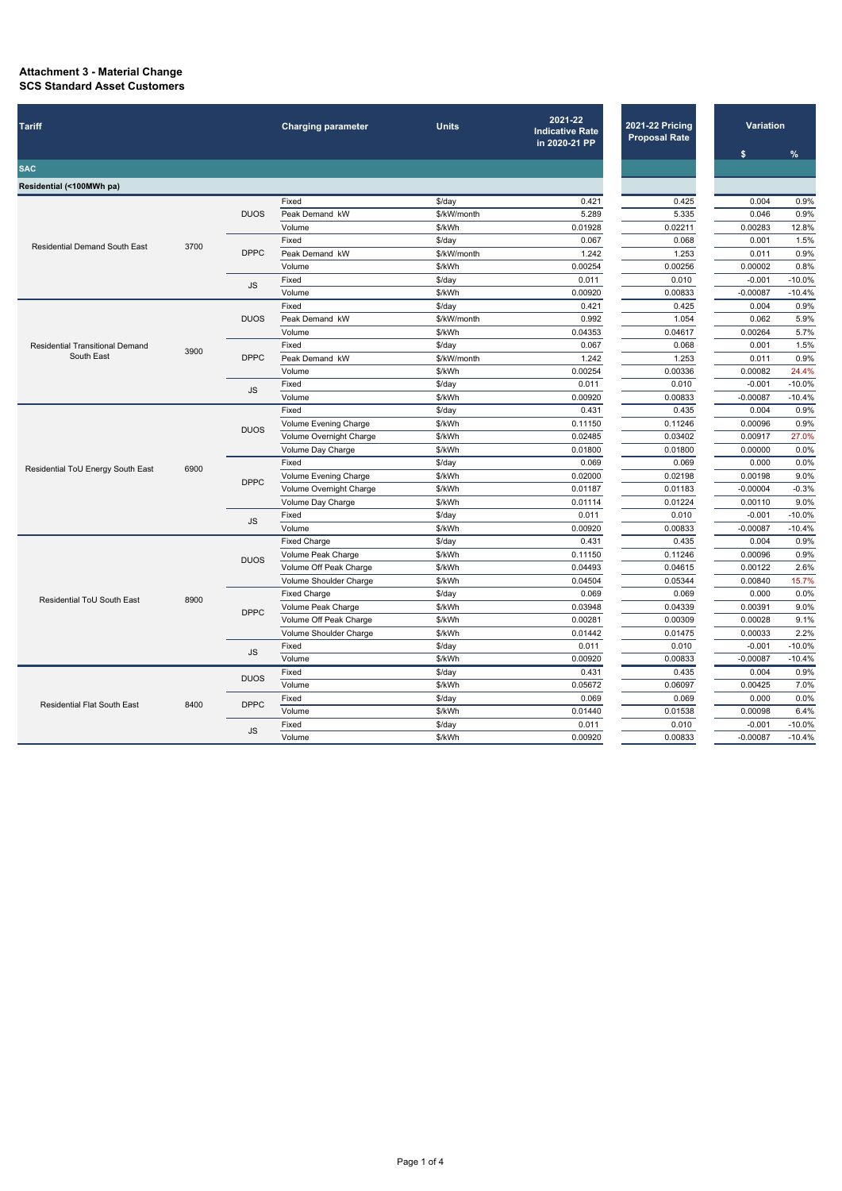## **Attachment 3 - Material Change SCS Standard Asset Customers**

| $\%$<br>\$<br><b>SAC</b><br>Residential (<100MWh pa)<br>0.004<br>Fixed<br>0.421<br>0.425<br>$$$ /day<br><b>DUOS</b><br>Peak Demand kW<br>5.289<br>5.335<br>0.046<br>\$/kW/month<br>Volume<br>\$/kWh<br>0.01928<br>0.02211<br>0.00283<br>Fixed<br>0.067<br>0.068<br>0.001<br>$$$ /day<br><b>Residential Demand South East</b><br>3700<br><b>DPPC</b><br>Peak Demand kW<br>1.242<br>1.253<br>\$/kW/month<br>0.011<br>Volume<br>\$/kWh<br>0.00254<br>0.00256<br>0.00002<br>Fixed<br>\$/day<br>0.011<br>0.010<br>$-0.001$<br><b>JS</b><br>Volume<br>\$/kWh<br>0.00920<br>0.00833<br>$-0.00087$<br>Fixed<br>\$/day<br>0.421<br>0.425<br>0.004<br><b>DUOS</b><br>Peak Demand kW<br>\$/kW/month<br>0.992<br>1.054<br>0.062 | <b>Tariff</b>                     |      | <b>Charging parameter</b> | <b>Units</b> | 2021-22<br><b>Indicative Rate</b><br>in 2020-21 PP | <b>2021-22 Pricing</b><br><b>Proposal Rate</b> | <b>Variation</b> |  |              |
|---------------------------------------------------------------------------------------------------------------------------------------------------------------------------------------------------------------------------------------------------------------------------------------------------------------------------------------------------------------------------------------------------------------------------------------------------------------------------------------------------------------------------------------------------------------------------------------------------------------------------------------------------------------------------------------------------------------------|-----------------------------------|------|---------------------------|--------------|----------------------------------------------------|------------------------------------------------|------------------|--|--------------|
|                                                                                                                                                                                                                                                                                                                                                                                                                                                                                                                                                                                                                                                                                                                     |                                   |      |                           |              |                                                    |                                                |                  |  |              |
|                                                                                                                                                                                                                                                                                                                                                                                                                                                                                                                                                                                                                                                                                                                     |                                   |      |                           |              |                                                    |                                                |                  |  |              |
|                                                                                                                                                                                                                                                                                                                                                                                                                                                                                                                                                                                                                                                                                                                     |                                   |      |                           |              |                                                    |                                                |                  |  |              |
|                                                                                                                                                                                                                                                                                                                                                                                                                                                                                                                                                                                                                                                                                                                     |                                   |      |                           |              |                                                    |                                                |                  |  | 0.9%         |
|                                                                                                                                                                                                                                                                                                                                                                                                                                                                                                                                                                                                                                                                                                                     |                                   |      |                           |              |                                                    |                                                |                  |  | 0.9%         |
|                                                                                                                                                                                                                                                                                                                                                                                                                                                                                                                                                                                                                                                                                                                     |                                   |      |                           |              |                                                    |                                                |                  |  | 12.8%        |
|                                                                                                                                                                                                                                                                                                                                                                                                                                                                                                                                                                                                                                                                                                                     |                                   |      |                           |              |                                                    |                                                |                  |  | 1.5%         |
|                                                                                                                                                                                                                                                                                                                                                                                                                                                                                                                                                                                                                                                                                                                     |                                   |      |                           |              |                                                    |                                                |                  |  | 0.9%         |
|                                                                                                                                                                                                                                                                                                                                                                                                                                                                                                                                                                                                                                                                                                                     |                                   |      |                           |              |                                                    |                                                |                  |  | 0.8%         |
|                                                                                                                                                                                                                                                                                                                                                                                                                                                                                                                                                                                                                                                                                                                     |                                   |      |                           |              |                                                    |                                                |                  |  | $-10.0%$     |
|                                                                                                                                                                                                                                                                                                                                                                                                                                                                                                                                                                                                                                                                                                                     |                                   |      |                           |              |                                                    |                                                |                  |  | $-10.4%$     |
|                                                                                                                                                                                                                                                                                                                                                                                                                                                                                                                                                                                                                                                                                                                     |                                   |      |                           |              |                                                    |                                                |                  |  | 0.9%         |
|                                                                                                                                                                                                                                                                                                                                                                                                                                                                                                                                                                                                                                                                                                                     |                                   |      |                           |              |                                                    |                                                |                  |  | 5.9%         |
| \$/kWh<br>0.04353<br>0.00264<br>Volume<br>0.04617                                                                                                                                                                                                                                                                                                                                                                                                                                                                                                                                                                                                                                                                   |                                   |      |                           |              |                                                    |                                                |                  |  | 5.7%         |
| Fixed<br>\$/day<br>0.067<br>0.068<br>0.001<br><b>Residential Transitional Demand</b><br>3900<br>South East<br><b>DPPC</b><br>Peak Demand kW<br>\$/kW/month<br>1.242<br>1.253<br>0.011                                                                                                                                                                                                                                                                                                                                                                                                                                                                                                                               |                                   |      |                           |              |                                                    |                                                |                  |  | 1.5%<br>0.9% |
| Volume<br>\$/kWh                                                                                                                                                                                                                                                                                                                                                                                                                                                                                                                                                                                                                                                                                                    |                                   |      |                           |              |                                                    |                                                |                  |  | 24.4%        |
| 0.00254<br>0.00336<br>0.00082<br>0.011<br>Fixed<br>$-0.001$                                                                                                                                                                                                                                                                                                                                                                                                                                                                                                                                                                                                                                                         |                                   |      |                           |              |                                                    |                                                |                  |  | $-10.0%$     |
| 0.010<br>$$$ /day<br><b>JS</b><br>Volume<br>\$/kWh<br>0.00833                                                                                                                                                                                                                                                                                                                                                                                                                                                                                                                                                                                                                                                       |                                   |      |                           |              |                                                    |                                                |                  |  | $-10.4%$     |
| 0.00920<br>$-0.00087$<br>Fixed<br>0.004                                                                                                                                                                                                                                                                                                                                                                                                                                                                                                                                                                                                                                                                             | Residential ToU Energy South East |      | <b>DUOS</b>               |              |                                                    |                                                |                  |  | 0.9%         |
| 0.435<br>\$/day<br>0.431<br>\$/kWh<br>Volume Evening Charge<br>0.11150<br>0.11246<br>0.00096                                                                                                                                                                                                                                                                                                                                                                                                                                                                                                                                                                                                                        |                                   |      |                           |              |                                                    |                                                |                  |  | 0.9%         |
|                                                                                                                                                                                                                                                                                                                                                                                                                                                                                                                                                                                                                                                                                                                     |                                   |      |                           |              |                                                    |                                                |                  |  | 27.0%        |
| Volume Overnight Charge<br>\$/kWh<br>0.02485<br>0.03402<br>0.00917<br>Volume Day Charge<br>\$/kWh<br>0.01800<br>0.01800<br>0.00000                                                                                                                                                                                                                                                                                                                                                                                                                                                                                                                                                                                  |                                   |      |                           |              |                                                    |                                                |                  |  | 0.0%         |
| Fixed<br>\$/day<br>0.069<br>0.069<br>0.000                                                                                                                                                                                                                                                                                                                                                                                                                                                                                                                                                                                                                                                                          |                                   |      |                           |              |                                                    |                                                |                  |  | 0.0%         |
| 6900<br>0.02000<br>Volume Evening Charge<br>\$/kWh<br>0.02198<br>0.00198                                                                                                                                                                                                                                                                                                                                                                                                                                                                                                                                                                                                                                            |                                   |      | <b>DPPC</b>               |              |                                                    |                                                |                  |  | 9.0%         |
| Volume Overnight Charge<br>\$/kWh<br>0.01187<br>0.01183<br>$-0.00004$                                                                                                                                                                                                                                                                                                                                                                                                                                                                                                                                                                                                                                               |                                   |      |                           |              |                                                    |                                                |                  |  | $-0.3%$      |
| \$/kWh<br>Volume Day Charge<br>0.01114<br>0.01224<br>0.00110                                                                                                                                                                                                                                                                                                                                                                                                                                                                                                                                                                                                                                                        |                                   |      |                           |              |                                                    |                                                |                  |  | 9.0%         |
| Fixed<br>0.011<br>0.010<br>$-0.001$<br>$$$ /day                                                                                                                                                                                                                                                                                                                                                                                                                                                                                                                                                                                                                                                                     |                                   |      | $\mathsf{JS}\xspace$      |              |                                                    |                                                |                  |  | $-10.0%$     |
| Volume<br>\$/kWh<br>0.00920<br>0.00833<br>$-0.00087$                                                                                                                                                                                                                                                                                                                                                                                                                                                                                                                                                                                                                                                                |                                   |      |                           |              |                                                    |                                                |                  |  | $-10.4%$     |
| 0.431<br>0.435<br>0.004<br><b>Fixed Charge</b><br>$$$ /day                                                                                                                                                                                                                                                                                                                                                                                                                                                                                                                                                                                                                                                          |                                   |      |                           |              |                                                    |                                                |                  |  | 0.9%         |
| \$/kWh<br>0.11150<br>0.11246<br>0.00096<br>Volume Peak Charge                                                                                                                                                                                                                                                                                                                                                                                                                                                                                                                                                                                                                                                       |                                   |      |                           |              |                                                    |                                                |                  |  | 0.9%         |
| <b>DUOS</b><br>Volume Off Peak Charge<br>\$/kWh<br>0.04493<br>0.04615<br>0.00122                                                                                                                                                                                                                                                                                                                                                                                                                                                                                                                                                                                                                                    |                                   | 8900 |                           |              |                                                    |                                                |                  |  | 2.6%         |
| Volume Shoulder Charge<br>0.04504<br>\$/kWh<br>0.05344<br>0.00840                                                                                                                                                                                                                                                                                                                                                                                                                                                                                                                                                                                                                                                   |                                   |      |                           |              |                                                    |                                                |                  |  | 15.7%        |
| 0.069<br><b>Fixed Charge</b><br>0.069<br>0.000<br>\$/day                                                                                                                                                                                                                                                                                                                                                                                                                                                                                                                                                                                                                                                            |                                   |      |                           |              |                                                    |                                                |                  |  | 0.0%         |
| Residential ToU South East<br>Volume Peak Charge<br>0.03948<br>0.04339<br>\$/kWh<br>0.00391                                                                                                                                                                                                                                                                                                                                                                                                                                                                                                                                                                                                                         |                                   |      | <b>DPPC</b>               |              |                                                    |                                                |                  |  | 9.0%         |
| Volume Off Peak Charge<br>\$/kWh<br>0.00281<br>0.00309<br>0.00028                                                                                                                                                                                                                                                                                                                                                                                                                                                                                                                                                                                                                                                   |                                   |      |                           |              |                                                    |                                                |                  |  | 9.1%         |
| Volume Shoulder Charge<br>\$/kWh<br>0.01442<br>0.01475<br>0.00033                                                                                                                                                                                                                                                                                                                                                                                                                                                                                                                                                                                                                                                   |                                   |      |                           |              |                                                    |                                                |                  |  | 2.2%         |
| 0.011<br>Fixed<br>\$/day<br>0.010<br>$-0.001$                                                                                                                                                                                                                                                                                                                                                                                                                                                                                                                                                                                                                                                                       |                                   |      |                           |              |                                                    |                                                |                  |  | $-10.0%$     |
| JS<br>Volume<br>\$/kWh<br>0.00920<br>0.00833<br>$-0.00087$                                                                                                                                                                                                                                                                                                                                                                                                                                                                                                                                                                                                                                                          |                                   |      |                           |              |                                                    |                                                |                  |  | $-10.4%$     |
| Fixed<br>$$$ /day<br>0.431<br>0.435<br>0.004                                                                                                                                                                                                                                                                                                                                                                                                                                                                                                                                                                                                                                                                        |                                   |      |                           |              |                                                    |                                                |                  |  | 0.9%         |
| Volume<br>0.05672<br>\$/kWh<br>0.06097<br>0.00425                                                                                                                                                                                                                                                                                                                                                                                                                                                                                                                                                                                                                                                                   |                                   |      | <b>DUOS</b>               |              |                                                    |                                                |                  |  | 7.0%         |
| 0.069<br>0.069<br>0.000<br>Fixed<br>\$/day                                                                                                                                                                                                                                                                                                                                                                                                                                                                                                                                                                                                                                                                          |                                   |      |                           |              |                                                    |                                                |                  |  | 0.0%         |
| <b>Residential Flat South East</b><br>8400<br>\$/kWh<br>Volume<br>0.01440<br>0.01538<br>0.00098                                                                                                                                                                                                                                                                                                                                                                                                                                                                                                                                                                                                                     |                                   |      | <b>DPPC</b>               |              |                                                    |                                                |                  |  | 6.4%         |
| 0.011<br>\$/day<br>0.010<br>$-0.001$<br>Fixed                                                                                                                                                                                                                                                                                                                                                                                                                                                                                                                                                                                                                                                                       |                                   |      | JS                        |              |                                                    |                                                |                  |  | $-10.0%$     |
| Volume<br>\$/kWh<br>0.00920<br>0.00833<br>$-0.00087$                                                                                                                                                                                                                                                                                                                                                                                                                                                                                                                                                                                                                                                                |                                   |      |                           |              |                                                    |                                                |                  |  | $-10.4%$     |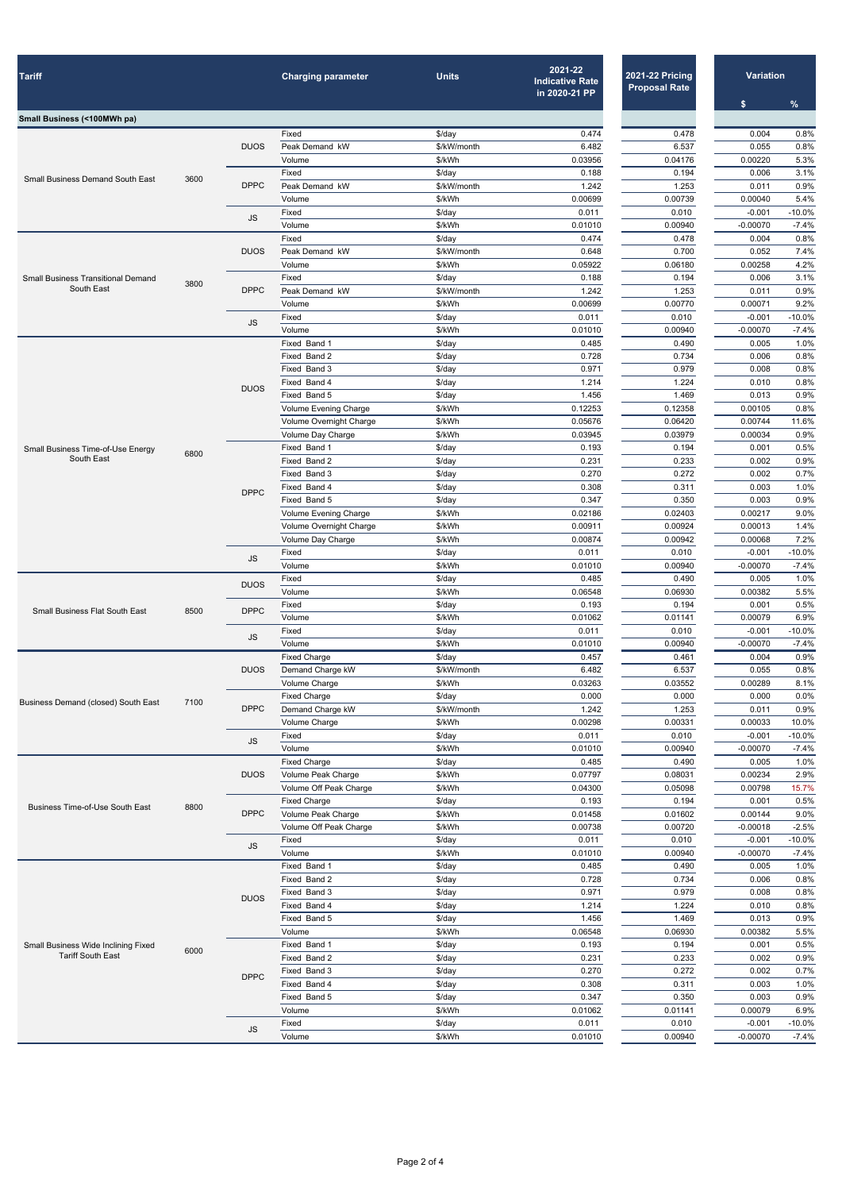| <b>Tariff</b>                                          |      |                      | <b>Charging parameter</b>       | <b>Units</b>          | 2021-22<br><b>Indicative Rate</b><br>in 2020-21 PP | <b>2021-22 Pricing</b><br><b>Proposal Rate</b> | <b>Variation</b><br>$\mathbf{\$}$ | $\%$                |
|--------------------------------------------------------|------|----------------------|---------------------------------|-----------------------|----------------------------------------------------|------------------------------------------------|-----------------------------------|---------------------|
| Small Business (<100MWh pa)                            |      |                      |                                 |                       |                                                    |                                                |                                   |                     |
|                                                        |      |                      | Fixed                           | \$/day                | 0.474                                              | 0.478                                          | 0.004                             | 0.8%                |
|                                                        |      | <b>DUOS</b>          | Peak Demand kW                  | \$/kW/month           | 6.482                                              | 6.537                                          | 0.055                             | 0.8%                |
|                                                        |      |                      | Volume                          | \$/kWh                | 0.03956                                            | 0.04176                                        | 0.00220                           | 5.3%                |
| <b>Small Business Demand South East</b>                | 3600 | <b>DPPC</b>          | Fixed<br>Peak Demand kW         | \$/day<br>\$/kW/month | 0.188<br>1.242                                     | 0.194<br>1.253                                 | 0.006<br>0.011                    | 3.1%<br>0.9%        |
|                                                        |      |                      | Volume                          | \$/kWh                | 0.00699                                            | 0.00739                                        | 0.00040                           | 5.4%                |
|                                                        |      |                      | Fixed                           | \$/day                | 0.011                                              | 0.010                                          | $-0.001$                          | $-10.0%$            |
|                                                        |      | <b>JS</b>            | Volume                          | \$/kWh                | 0.01010                                            | 0.00940                                        | $-0.00070$                        | $-7.4%$             |
|                                                        |      |                      | Fixed                           | \$/day                | 0.474                                              | 0.478                                          | 0.004                             | 0.8%                |
|                                                        |      | <b>DUOS</b>          | Peak Demand kW                  | \$/kW/month           | 0.648                                              | 0.700                                          | 0.052                             | 7.4%                |
| <b>Small Business Transitional Demand</b>              |      |                      | Volume<br>Fixed                 | \$/kWh<br>\$/day      | 0.05922<br>0.188                                   | 0.06180<br>0.194                               | 0.00258<br>0.006                  | 4.2%<br>3.1%        |
| South East                                             | 3800 | <b>DPPC</b>          | Peak Demand kW                  | \$/kW/month           | 1.242                                              | 1.253                                          | 0.011                             | 0.9%                |
|                                                        |      |                      | Volume                          | \$/kWh                | 0.00699                                            | 0.00770                                        | 0.00071                           | 9.2%                |
|                                                        |      | <b>JS</b>            | Fixed                           | \$/day                | 0.011                                              | 0.010                                          | $-0.001$                          | $-10.0%$            |
|                                                        |      |                      | Volume                          | \$/kWh                | 0.01010                                            | 0.00940                                        | $-0.00070$                        | $-7.4%$             |
|                                                        |      |                      | Fixed Band 1                    | \$/day                | 0.485                                              | 0.490                                          | 0.005                             | 1.0%                |
|                                                        |      |                      | Fixed Band 2<br>Fixed Band 3    | \$/day<br>$$$ /day    | 0.728<br>0.971                                     | 0.734<br>0.979                                 | 0.006<br>0.008                    | 0.8%<br>0.8%        |
|                                                        |      |                      | Fixed Band 4                    | $$$ /day              | 1.214                                              | 1.224                                          | 0.010                             | 0.8%                |
|                                                        |      | <b>DUOS</b>          | Fixed Band 5                    | $$$ /day              | 1.456                                              | 1.469                                          | 0.013                             | 0.9%                |
|                                                        |      |                      | Volume Evening Charge           | \$/kWh                | 0.12253                                            | 0.12358                                        | 0.00105                           | 0.8%                |
|                                                        |      |                      | Volume Overnight Charge         | \$/kWh                | 0.05676                                            | 0.06420                                        | 0.00744                           | 11.6%               |
|                                                        |      |                      | Volume Day Charge               | \$/kWh                | 0.03945                                            | 0.03979                                        | 0.00034                           | 0.9%                |
| <b>Small Business Time-of-Use Energy</b><br>South East | 6800 |                      | Fixed Band 1<br>Fixed Band 2    | $$$ /day              | 0.193<br>0.231                                     | 0.194<br>0.233                                 | 0.001<br>0.002                    | 0.5%<br>0.9%        |
|                                                        |      |                      | Fixed Band 3                    | $$$ /day<br>\$/day    | 0.270                                              | 0.272                                          | 0.002                             | 0.7%                |
|                                                        |      |                      | Fixed Band 4                    | \$/day                | 0.308                                              | 0.311                                          | 0.003                             | 1.0%                |
|                                                        |      | <b>DPPC</b>          | Fixed Band 5                    | \$/day                | 0.347                                              | 0.350                                          | 0.003                             | 0.9%                |
|                                                        |      |                      | Volume Evening Charge           | \$/kWh                | 0.02186                                            | 0.02403                                        | 0.00217                           | 9.0%                |
|                                                        |      |                      | Volume Overnight Charge         | \$/kWh                | 0.00911                                            | 0.00924                                        | 0.00013                           | 1.4%                |
|                                                        |      |                      | Volume Day Charge               | \$/kWh                | 0.00874                                            | 0.00942                                        | 0.00068                           | 7.2%                |
|                                                        |      | $\mathsf{JS}\xspace$ | Fixed<br>Volume                 | \$/day<br>\$/kWh      | 0.011<br>0.01010                                   | 0.010<br>0.00940                               | $-0.001$<br>$-0.00070$            | $-10.0%$<br>$-7.4%$ |
| <b>Small Business Flat South East</b>                  |      |                      | Fixed                           | \$/day                | 0.485                                              | 0.490                                          | 0.005                             | 1.0%                |
|                                                        |      | <b>DUOS</b>          | Volume                          | \$/kWh                | 0.06548                                            | 0.06930                                        | 0.00382                           | 5.5%                |
|                                                        | 8500 | <b>DPPC</b>          | Fixed                           | \$/day                | 0.193                                              | 0.194                                          | 0.001                             | 0.5%                |
|                                                        |      |                      | Volume                          | \$/kWh                | 0.01062                                            | 0.01141                                        | 0.00079                           | 6.9%                |
|                                                        |      | JS                   | Fixed                           | \$/day                | 0.011                                              | 0.010                                          | $-0.001$                          | $-10.0%$            |
|                                                        |      |                      | Volume<br><b>Fixed Charge</b>   | \$/kWh<br>\$/day      | 0.01010<br>0.457                                   | 0.00940<br>0.461                               | $-0.00070$<br>0.004               | $-7.4%$<br>0.9%     |
|                                                        |      | <b>DUOS</b>          | Demand Charge kW                | \$/kW/month           | 6.482                                              | 6.537                                          | 0.055                             | 0.8%                |
|                                                        |      |                      | Volume Charge                   | \$/kWh                | 0.03263                                            | 0.03552                                        | 0.00289                           | 8.1%                |
| Business Demand (closed) South East                    | 7100 |                      | <b>Fixed Charge</b>             | \$/day                | 0.000                                              | 0.000                                          | 0.000                             | 0.0%                |
|                                                        |      | <b>DPPC</b>          | Demand Charge kW                | \$/kW/month           | 1.242                                              | 1.253                                          | 0.011                             | 0.9%                |
|                                                        |      |                      | Volume Charge                   | \$/kWh                | 0.00298                                            | 0.00331                                        | 0.00033                           | 10.0%               |
|                                                        |      | JS                   | Fixed<br>Volume                 | \$/day<br>\$/kWh      | 0.011<br>0.01010                                   | 0.010<br>0.00940                               | $-0.001$<br>$-0.00070$            | $-10.0%$<br>$-7.4%$ |
|                                                        |      |                      | <b>Fixed Charge</b>             | \$/day                | 0.485                                              | 0.490                                          | 0.005                             | 1.0%                |
|                                                        | 8800 | <b>DUOS</b>          | Volume Peak Charge              | \$/kWh                | 0.07797                                            | 0.08031                                        | 0.00234                           | 2.9%                |
|                                                        |      |                      | Volume Off Peak Charge          | \$/kWh                | 0.04300                                            | 0.05098                                        | 0.00798                           | 15.7%               |
| <b>Business Time-of-Use South East</b>                 |      |                      | <b>Fixed Charge</b>             | \$/day                | 0.193                                              | 0.194                                          | 0.001                             | 0.5%                |
|                                                        |      | <b>DPPC</b>          | Volume Peak Charge              | \$/kWh                | 0.01458                                            | 0.01602                                        | 0.00144                           | 9.0%                |
|                                                        |      |                      | Volume Off Peak Charge<br>Fixed | \$/kWh                | 0.00738<br>0.011                                   | 0.00720<br>0.010                               | $-0.00018$<br>$-0.001$            | $-2.5%$<br>$-10.0%$ |
|                                                        |      | $\mathsf{JS}\xspace$ | Volume                          | \$/day<br>\$/kWh      | 0.01010                                            | 0.00940                                        | $-0.00070$                        | $-7.4%$             |
|                                                        |      |                      | Fixed Band 1                    | \$/day                | 0.485                                              | 0.490                                          | 0.005                             | 1.0%                |
|                                                        |      |                      | Fixed Band 2                    | \$/day                | 0.728                                              | 0.734                                          | 0.006                             | 0.8%                |
|                                                        |      | <b>DUOS</b>          | Fixed Band 3                    | \$/day                | 0.971                                              | 0.979                                          | 0.008                             | 0.8%                |
|                                                        |      |                      | Fixed Band 4                    | \$/day                | 1.214                                              | 1.224                                          | 0.010                             | 0.8%                |
|                                                        |      |                      | Fixed Band 5                    | \$/day                | 1.456                                              | 1.469                                          | 0.013                             | 0.9%                |
| Small Business Wide Inclining Fixed                    |      |                      | Volume<br>Fixed Band 1          | \$/kWh<br>\$/day      | 0.06548<br>0.193                                   | 0.06930<br>0.194                               | 0.00382<br>0.001                  | 5.5%<br>0.5%        |
| <b>Tariff South East</b>                               | 6000 |                      | Fixed Band 2                    | \$/day                | 0.231                                              | 0.233                                          | 0.002                             | 0.9%                |
|                                                        |      |                      | Fixed Band 3                    | $\frac{1}{2}$ /day    | 0.270                                              | 0.272                                          | 0.002                             | 0.7%                |
|                                                        |      | <b>DPPC</b>          | Fixed Band 4                    | \$/day                | 0.308                                              | 0.311                                          | 0.003                             | 1.0%                |
|                                                        |      |                      | Fixed Band 5                    | \$/day                | 0.347                                              | 0.350                                          | 0.003                             | 0.9%                |
|                                                        |      |                      | Volume                          | \$/kWh                | 0.01062                                            | 0.01141                                        | 0.00079                           | 6.9%                |
|                                                        |      | $\mathsf{JS}\xspace$ | Fixed<br>Volume                 | \$/day<br>\$/kWh      | 0.011<br>0.01010                                   | 0.010<br>0.00940                               | $-0.001$<br>$-0.00070$            | $-10.0%$<br>$-7.4%$ |
|                                                        |      |                      |                                 |                       |                                                    |                                                |                                   |                     |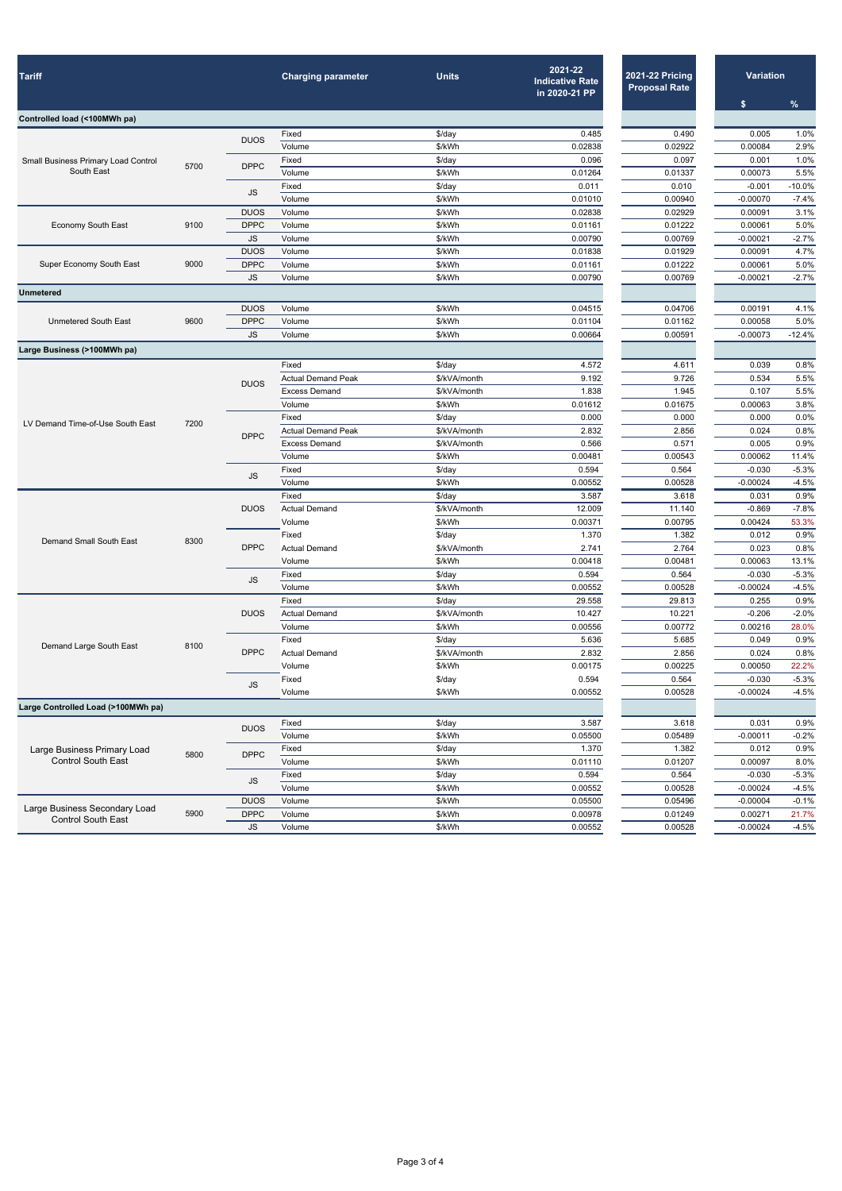| <b>Tariff</b>                              |      |                                     | <b>Charging parameter</b>      | <b>Units</b>           | 2021-22<br><b>Indicative Rate</b><br>in 2020-21 PP | <b>2021-22 Pricing</b><br><b>Proposal Rate</b> | <b>Variation</b>    |                 |
|--------------------------------------------|------|-------------------------------------|--------------------------------|------------------------|----------------------------------------------------|------------------------------------------------|---------------------|-----------------|
| Controlled load (<100MWh pa)               |      |                                     |                                |                        |                                                    |                                                | \$                  | $\frac{9}{6}$   |
|                                            |      |                                     | Fixed                          | \$/day                 | 0.485                                              | 0.490                                          | 0.005               | 1.0%            |
|                                            |      | <b>DUOS</b>                         | Volume                         | \$/kWh                 | 0.02838                                            | 0.02922                                        | 0.00084             | 2.9%            |
| <b>Small Business Primary Load Control</b> |      |                                     | Fixed                          | \$/day                 | 0.096                                              | 0.097                                          | 0.001               | 1.0%            |
| South East                                 | 5700 | <b>DPPC</b>                         | Volume                         | \$/kWh                 | 0.01264                                            | 0.01337                                        | 0.00073             | 5.5%            |
|                                            |      |                                     | Fixed                          | $$$ /day               | 0.011                                              | 0.010                                          | $-0.001$            | $-10.0%$        |
|                                            |      | <b>JS</b>                           | Volume                         | \$/kWh                 | 0.01010                                            | 0.00940                                        | $-0.00070$          | $-7.4%$         |
|                                            |      | <b>DUOS</b>                         | Volume                         | \$/kWh                 | 0.02838                                            | 0.02929                                        | 0.00091             | 3.1%            |
| <b>Economy South East</b>                  | 9100 | <b>DPPC</b>                         | Volume                         | \$/kWh                 | 0.01161                                            | 0.01222                                        | 0.00061             | 5.0%            |
|                                            |      | <b>JS</b>                           | Volume                         | \$/kWh                 | 0.00790                                            | 0.00769                                        | $-0.00021$          | $-2.7%$         |
|                                            |      | <b>DUOS</b>                         | Volume                         | \$/kWh                 | 0.01838                                            | 0.01929                                        | 0.00091             | 4.7%            |
| Super Economy South East                   | 9000 | <b>DPPC</b>                         | Volume                         | \$/kWh                 | 0.01161                                            | 0.01222                                        | 0.00061             | 5.0%            |
|                                            |      | <b>JS</b>                           | Volume                         | \$/kWh                 | 0.00790                                            | 0.00769                                        | $-0.00021$          | $-2.7%$         |
| <b>Unmetered</b>                           |      |                                     |                                |                        |                                                    |                                                |                     |                 |
|                                            |      | <b>DUOS</b>                         | Volume                         | \$/kWh                 | 0.04515                                            | 0.04706                                        | 0.00191             | 4.1%            |
| <b>Unmetered South East</b>                | 9600 | <b>DPPC</b>                         | Volume                         | \$/kWh                 | 0.01104                                            | 0.01162                                        | 0.00058             | 5.0%            |
|                                            |      | JS                                  | Volume                         | \$/kWh                 | 0.00664                                            | 0.00591                                        | $-0.00073$          | $-12.4%$        |
| Large Business (>100MWh pa)                |      |                                     |                                |                        |                                                    |                                                |                     |                 |
|                                            |      |                                     | Fixed                          | $$$ /day               | 4.572                                              | 4.611                                          | 0.039               | 0.8%            |
|                                            |      | <b>DUOS</b>                         | <b>Actual Demand Peak</b>      | \$/kVA/month           | 9.192                                              | 9.726                                          | 0.534               | 5.5%            |
|                                            |      |                                     | <b>Excess Demand</b>           | \$/kVA/month           | 1.838                                              | 1.945                                          | 0.107               | 5.5%            |
| LV Demand Time-of-Use South East           |      |                                     | Volume                         | \$/kWh                 | 0.01612                                            | 0.01675                                        | 0.00063             | 3.8%            |
|                                            | 7200 | <b>DPPC</b>                         | Fixed                          | $$$ /day               | 0.000                                              | 0.000                                          | 0.000               | 0.0%            |
|                                            |      |                                     | <b>Actual Demand Peak</b>      | \$/kVA/month           | 2.832                                              | 2.856                                          | 0.024               | 0.8%            |
|                                            |      |                                     | <b>Excess Demand</b><br>Volume | \$/kVA/month<br>\$/kWh | 0.566<br>0.00481                                   | 0.571<br>0.00543                               | 0.005<br>0.00062    | 0.9%<br>11.4%   |
|                                            |      |                                     | Fixed                          | \$/day                 | 0.594                                              | 0.564                                          | $-0.030$            | $-5.3%$         |
|                                            |      | JS                                  | Volume                         | \$/kWh                 | 0.00552                                            | 0.00528                                        | $-0.00024$          | $-4.5%$         |
| <b>Demand Small South East</b>             |      | <b>DUOS</b>                         | Fixed                          | \$/day                 | 3.587                                              | 3.618                                          | 0.031               | 0.9%            |
|                                            |      |                                     | <b>Actual Demand</b>           | \$/kVA/month           | 12.009                                             | 11.140                                         | $-0.869$            | $-7.8%$         |
|                                            |      |                                     | Volume                         | \$/kWh                 | 0.00371                                            | 0.00795                                        | 0.00424             | 53.3%           |
|                                            |      | <b>DPPC</b><br>$\mathsf{JS}\xspace$ | Fixed                          | \$/day                 | 1.370                                              | 1.382                                          | 0.012               | 0.9%            |
|                                            | 8300 |                                     | <b>Actual Demand</b>           | \$/kVA/month           | 2.741                                              | 2.764                                          | 0.023               | 0.8%            |
|                                            |      |                                     | Volume                         | \$/kWh                 | 0.00418                                            | 0.00481                                        | 0.00063             | 13.1%           |
|                                            |      |                                     | Fixed                          | $\frac{1}{2}$ /day     | 0.594                                              | 0.564                                          | $-0.030$            | $-5.3%$         |
|                                            |      |                                     | Volume                         | \$/kWh                 | 0.00552                                            | 0.00528                                        | $-0.00024$          | $-4.5%$         |
| Demand Large South East                    | 8100 |                                     | Fixed                          | $$$ /day               | 29.558                                             | 29.813                                         | 0.255               | 0.9%            |
|                                            |      | <b>DUOS</b>                         | <b>Actual Demand</b>           | \$/kVA/month           | 10.427                                             | 10.221                                         | $-0.206$            | $-2.0%$         |
|                                            |      |                                     | Volume                         | \$/kWh                 | 0.00556                                            | 0.00772                                        | 0.00216             | 28.0%           |
|                                            |      |                                     | Fixed                          | \$/day                 | 5.636                                              | 5.685                                          | 0.049               | 0.9%            |
|                                            |      | <b>DPPC</b>                         | <b>Actual Demand</b>           | \$/kVA/month           | 2.832                                              | 2.856                                          | 0.024               | 0.8%            |
|                                            |      |                                     | Volume                         | \$/kWh                 | 0.00175                                            | 0.00225                                        | 0.00050             | 22.2%           |
|                                            |      | JS                                  | Fixed                          | \$/day                 | 0.594                                              | 0.564                                          | $-0.030$            | $-5.3%$         |
|                                            |      |                                     | Volume                         | \$/kWh                 | 0.00552                                            | 0.00528                                        | $-0.00024$          | $-4.5%$         |
| Large Controlled Load (>100MWh pa)         |      |                                     |                                |                        |                                                    |                                                |                     |                 |
|                                            | 5800 | <b>DUOS</b>                         | Fixed<br>Volume                | \$/day<br>\$/kWh       | 3.587<br>0.05500                                   | 3.618<br>0.05489                               | 0.031<br>$-0.00011$ | 0.9%<br>$-0.2%$ |
| Large Business Primary Load                |      |                                     | Fixed                          | \$/day                 | 1.370                                              | 1.382                                          | 0.012               | 0.9%            |
| <b>Control South East</b>                  |      | <b>DPPC</b>                         | Volume                         | \$/kWh                 | 0.01110                                            | 0.01207                                        | 0.00097             | 8.0%            |
|                                            |      |                                     | Fixed                          | \$/day                 | 0.594                                              | 0.564                                          | $-0.030$            | $-5.3%$         |
|                                            |      | JS                                  | Volume                         | \$/kWh                 | 0.00552                                            | 0.00528                                        | $-0.00024$          | $-4.5%$         |
|                                            |      | <b>DUOS</b>                         | Volume                         | \$/kWh                 | 0.05500                                            | 0.05496                                        | $-0.00004$          | $-0.1%$         |
| Large Business Secondary Load              | 5900 | <b>DPPC</b>                         | Volume                         | \$/kWh                 | 0.00978                                            | 0.01249                                        | 0.00271             | 21.7%           |
| <b>Control South East</b>                  |      | JS                                  | Volume                         | \$/kWh                 | 0.00552                                            | 0.00528                                        | $-0.00024$          | $-4.5%$         |